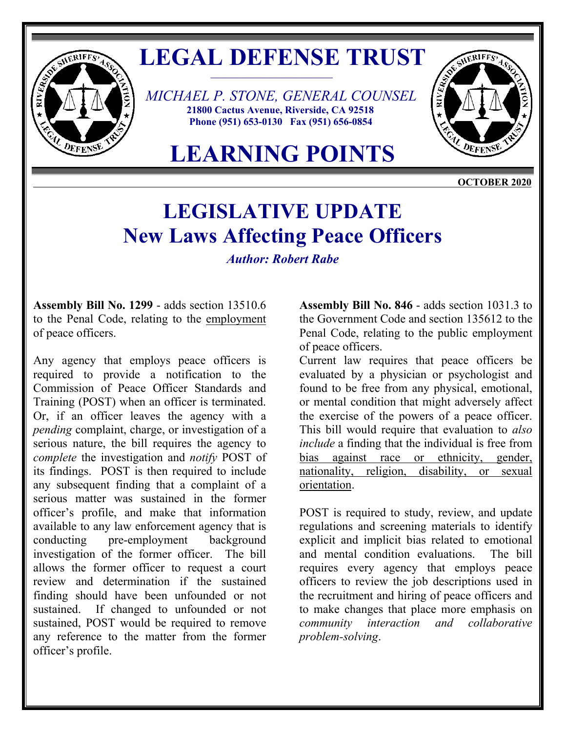

## LEGAL DEFENSE TRUST

 *MICHAEL P. STONE, GENERAL COUNSEL* **21800 Cactus Avenue, Riverside, CA 92518 Phone (951) 653-0130 Fax (951) 656-0854** 



**LEARNING POINTS**

**OCTOBER 2020** 

## **LEGISLATIVE UPDATE New Laws Affecting Peace Officers**

*Author: Robert Rabe* 

**Assembly Bill No. 1299** - adds section 13510.6 to the Penal Code, relating to the employment of peace officers.

Any agency that employs peace officers is required to provide a notification to the Commission of Peace Officer Standards and Training (POST) when an officer is terminated. Or, if an officer leaves the agency with a *pending* complaint, charge, or investigation of a serious nature, the bill requires the agency to *complete* the investigation and *notify* POST of its findings. POST is then required to include any subsequent finding that a complaint of a serious matter was sustained in the former officer's profile, and make that information available to any law enforcement agency that is conducting pre-employment background investigation of the former officer. The bill allows the former officer to request a court review and determination if the sustained finding should have been unfounded or not sustained. If changed to unfounded or not sustained, POST would be required to remove any reference to the matter from the former officer's profile.

**Assembly Bill No. 846** - adds section 1031.3 to the Government Code and section 135612 to the Penal Code, relating to the public employment of peace officers.

Current law requires that peace officers be evaluated by a physician or psychologist and found to be free from any physical, emotional, or mental condition that might adversely affect the exercise of the powers of a peace officer. This bill would require that evaluation to *also include* a finding that the individual is free from bias against race or ethnicity, gender, nationality, religion, disability, or sexual orientation.

POST is required to study, review, and update regulations and screening materials to identify explicit and implicit bias related to emotional and mental condition evaluations. The bill requires every agency that employs peace officers to review the job descriptions used in the recruitment and hiring of peace officers and to make changes that place more emphasis on *community interaction and collaborative problem-solving*.